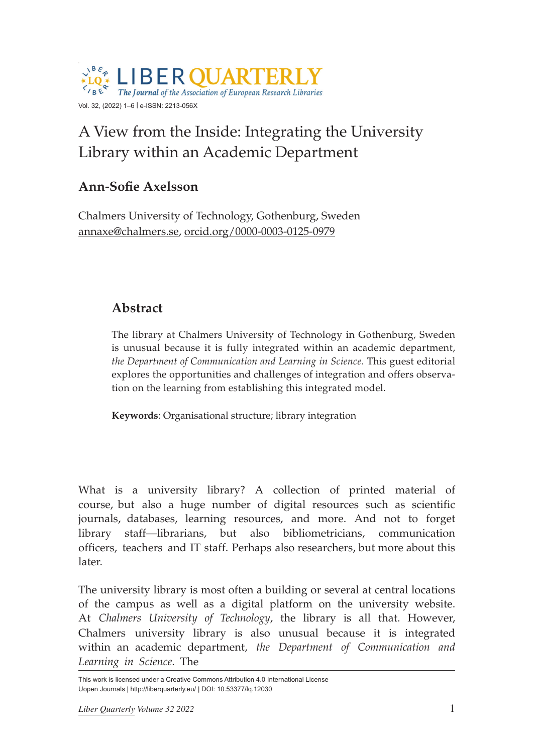

# A View from the Inside: Integrating the University Library within an Academic Department

# **Ann-Sofie Axelsson**

Chalmers University of Technology, Gothenburg, Sweden [annaxe@chalmers.se](mailto:annaxe@chalmers.se), [orcid.org/0000-0003-0125-0979](https://orcid.org/0000-0003-0125-0979)

# **Abstract**

The library at Chalmers University of Technology in Gothenburg, Sweden is unusual because it is fully integrated within an academic department, *the Department of Communication and Learning in Science*. This guest editorial explores the opportunities and challenges of integration and offers observation on the learning from establishing this integrated model.

**Keywords**: Organisational structure; library integration

What is a university library? A collection of printed material of course, but also a huge number of digital resources such as scientific journals, databases, learning resources, and more. And not to forget library staff—librarians, but also bibliometricians, communication officers, teachers and IT staff. Perhaps also researchers, but more about this later.

The university library is most often a building or several at central locations of the campus as well as a digital platform on the university website. At *Chalmers University of Technology*, the library is all that. However, Chalmers university library is also unusual because it is integrated within an academic department, *the Department of Communication and Learning in Science*. The

This work is licensed under a Creative Commons Attribution 4.0 International License Uopen Journals | <http://liberquarterly.eu/> | DOI: 10.53377/lq.12030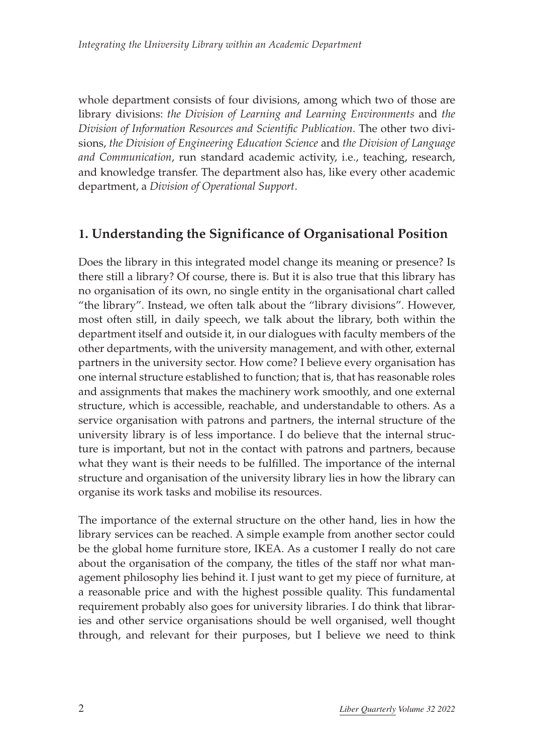whole department consists of four divisions, among which two of those are library divisions: *the Division of Learning and Learning Environments* and *the Division of Information Resources and Scientific Publication*. The other two divisions, *the Division of Engineering Education Science* and *the Division of Language and Communication*, run standard academic activity, i.e., teaching, research, and knowledge transfer. The department also has, like every other academic department, a *Division of Operational Support*.

## **1. Understanding the Significance of Organisational Position**

Does the library in this integrated model change its meaning or presence? Is there still a library? Of course, there is. But it is also true that this library has no organisation of its own, no single entity in the organisational chart called "the library". Instead, we often talk about the "library divisions". However, most often still, in daily speech, we talk about the library, both within the department itself and outside it, in our dialogues with faculty members of the other departments, with the university management, and with other, external partners in the university sector. How come? I believe every organisation has one internal structure established to function; that is, that has reasonable roles and assignments that makes the machinery work smoothly, and one external structure, which is accessible, reachable, and understandable to others. As a service organisation with patrons and partners, the internal structure of the university library is of less importance. I do believe that the internal structure is important, but not in the contact with patrons and partners, because what they want is their needs to be fulfilled. The importance of the internal structure and organisation of the university library lies in how the library can organise its work tasks and mobilise its resources.

The importance of the external structure on the other hand, lies in how the library services can be reached. A simple example from another sector could be the global home furniture store, IKEA. As a customer I really do not care about the organisation of the company, the titles of the staff nor what management philosophy lies behind it. I just want to get my piece of furniture, at a reasonable price and with the highest possible quality. This fundamental requirement probably also goes for university libraries. I do think that libraries and other service organisations should be well organised, well thought through, and relevant for their purposes, but I believe we need to think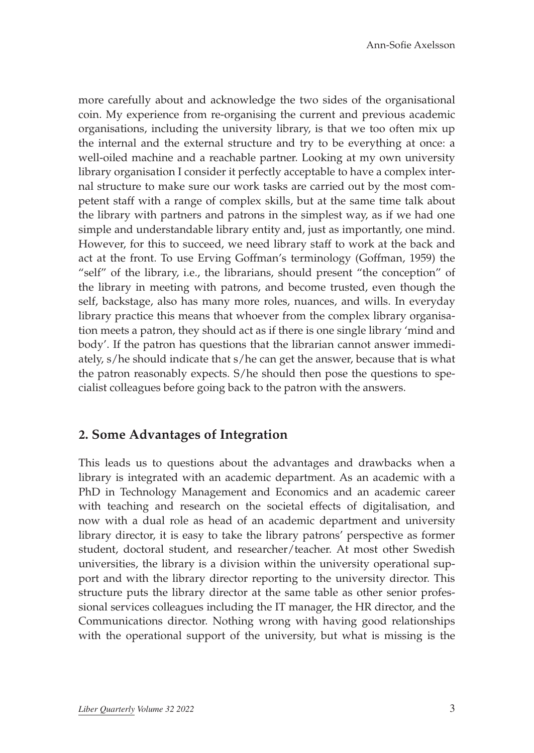more carefully about and acknowledge the two sides of the organisational coin. My experience from re-organising the current and previous academic organisations, including the university library, is that we too often mix up the internal and the external structure and try to be everything at once: a well-oiled machine and a reachable partner. Looking at my own university library organisation I consider it perfectly acceptable to have a complex internal structure to make sure our work tasks are carried out by the most competent staff with a range of complex skills, but at the same time talk about the library with partners and patrons in the simplest way, as if we had one simple and understandable library entity and, just as importantly, one mind. However, for this to succeed, we need library staff to work at the back and act at the front. To use Erving Goffman's terminology (Goffman, 1959) the "self" of the library, i.e., the librarians, should present "the conception" of the library in meeting with patrons, and become trusted, even though the self, backstage, also has many more roles, nuances, and wills. In everyday library practice this means that whoever from the complex library organisation meets a patron, they should act as if there is one single library 'mind and body'. If the patron has questions that the librarian cannot answer immediately, s/he should indicate that s/he can get the answer, because that is what the patron reasonably expects. S/he should then pose the questions to specialist colleagues before going back to the patron with the answers.

#### **2. Some Advantages of Integration**

This leads us to questions about the advantages and drawbacks when a library is integrated with an academic department. As an academic with a PhD in Technology Management and Economics and an academic career with teaching and research on the societal effects of digitalisation, and now with a dual role as head of an academic department and university library director, it is easy to take the library patrons' perspective as former student, doctoral student, and researcher/teacher. At most other Swedish universities, the library is a division within the university operational support and with the library director reporting to the university director. This structure puts the library director at the same table as other senior professional services colleagues including the IT manager, the HR director, and the Communications director. Nothing wrong with having good relationships with the operational support of the university, but what is missing is the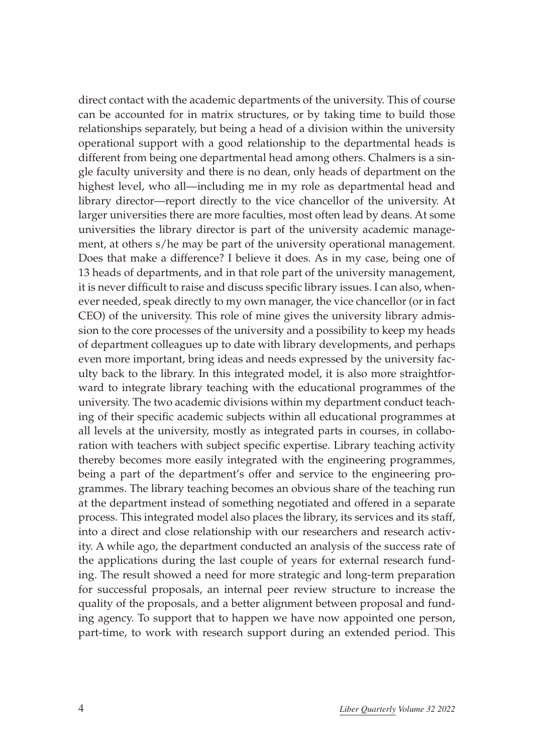direct contact with the academic departments of the university. This of course can be accounted for in matrix structures, or by taking time to build those relationships separately, but being a head of a division within the university operational support with a good relationship to the departmental heads is different from being one departmental head among others. Chalmers is a single faculty university and there is no dean, only heads of department on the highest level, who all—including me in my role as departmental head and library director—report directly to the vice chancellor of the university. At larger universities there are more faculties, most often lead by deans. At some universities the library director is part of the university academic management, at others s/he may be part of the university operational management. Does that make a difference? I believe it does. As in my case, being one of 13 heads of departments, and in that role part of the university management, it is never difficult to raise and discuss specific library issues. I can also, whenever needed, speak directly to my own manager, the vice chancellor (or in fact CEO) of the university. This role of mine gives the university library admission to the core processes of the university and a possibility to keep my heads of department colleagues up to date with library developments, and perhaps even more important, bring ideas and needs expressed by the university faculty back to the library. In this integrated model, it is also more straightforward to integrate library teaching with the educational programmes of the university. The two academic divisions within my department conduct teaching of their specific academic subjects within all educational programmes at all levels at the university, mostly as integrated parts in courses, in collaboration with teachers with subject specific expertise. Library teaching activity thereby becomes more easily integrated with the engineering programmes, being a part of the department's offer and service to the engineering programmes. The library teaching becomes an obvious share of the teaching run at the department instead of something negotiated and offered in a separate process. This integrated model also places the library, its services and its staff, into a direct and close relationship with our researchers and research activity. A while ago, the department conducted an analysis of the success rate of the applications during the last couple of years for external research funding. The result showed a need for more strategic and long-term preparation for successful proposals, an internal peer review structure to increase the quality of the proposals, and a better alignment between proposal and funding agency. To support that to happen we have now appointed one person, part-time, to work with research support during an extended period. This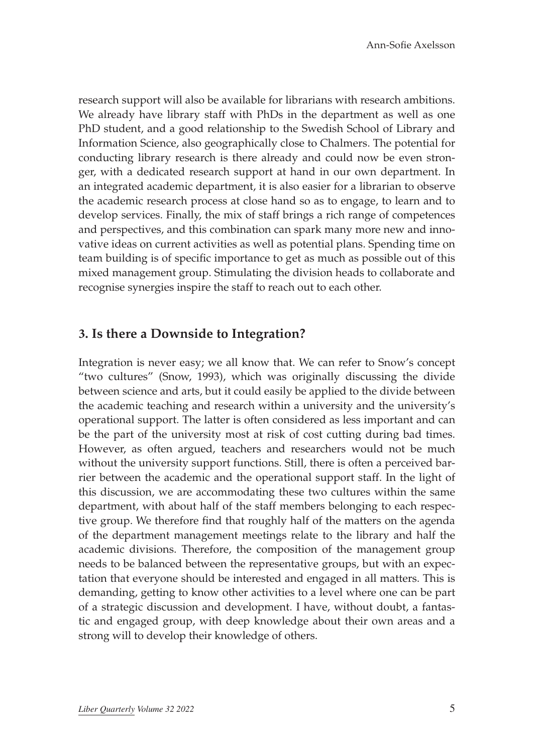research support will also be available for librarians with research ambitions. We already have library staff with PhDs in the department as well as one PhD student, and a good relationship to the Swedish School of Library and Information Science, also geographically close to Chalmers. The potential for conducting library research is there already and could now be even stronger, with a dedicated research support at hand in our own department. In an integrated academic department, it is also easier for a librarian to observe the academic research process at close hand so as to engage, to learn and to develop services. Finally, the mix of staff brings a rich range of competences and perspectives, and this combination can spark many more new and innovative ideas on current activities as well as potential plans. Spending time on team building is of specific importance to get as much as possible out of this mixed management group. Stimulating the division heads to collaborate and recognise synergies inspire the staff to reach out to each other.

#### **3. Is there a Downside to Integration?**

Integration is never easy; we all know that. We can refer to Snow's concept "two cultures" (Snow, 1993), which was originally discussing the divide between science and arts, but it could easily be applied to the divide between the academic teaching and research within a university and the university's operational support. The latter is often considered as less important and can be the part of the university most at risk of cost cutting during bad times. However, as often argued, teachers and researchers would not be much without the university support functions. Still, there is often a perceived barrier between the academic and the operational support staff. In the light of this discussion, we are accommodating these two cultures within the same department, with about half of the staff members belonging to each respective group. We therefore find that roughly half of the matters on the agenda of the department management meetings relate to the library and half the academic divisions. Therefore, the composition of the management group needs to be balanced between the representative groups, but with an expectation that everyone should be interested and engaged in all matters. This is demanding, getting to know other activities to a level where one can be part of a strategic discussion and development. I have, without doubt, a fantastic and engaged group, with deep knowledge about their own areas and a strong will to develop their knowledge of others.